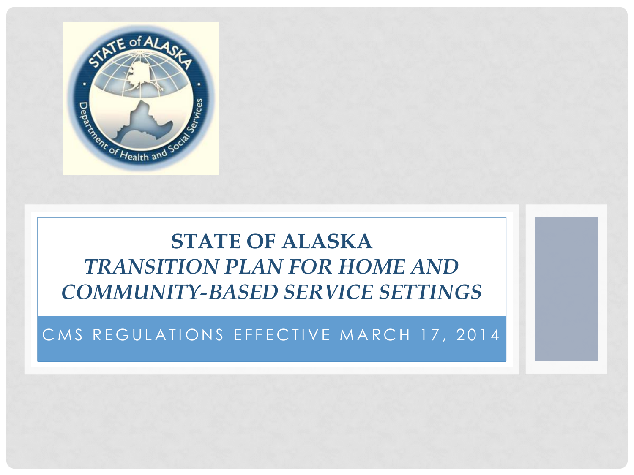

#### **STATE OF ALASKA** *TRANSITION PLAN FOR HOME AND COMMUNITY-BASED SERVICE SETTINGS*

#### CMS REGULATIONS EFFECTIVE MARCH 17, 2014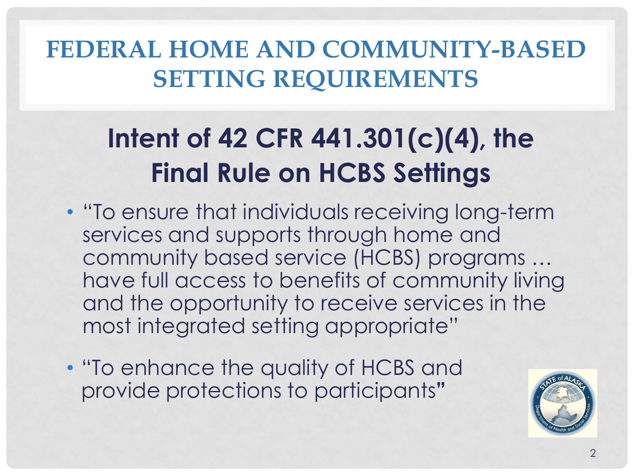# **Intent of 42 CFR 441.301(c)(4), the Final Rule on HCBS Settings**

- "To ensure that individuals receiving long-term services and supports through home and community based service (HCBS) programs … have full access to benefits of community living and the opportunity to receive services in the most integrated setting appropriate"
- "To enhance the quality of HCBS and provide protections to participants**"**

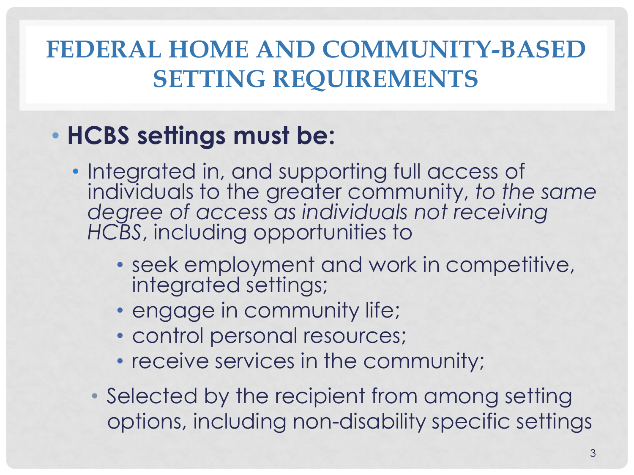#### • **HCBS settings must be:**

- Integrated in, and supporting full access of individuals to the greater community, *to the same degree of access as individuals not receiving HCBS*, including opportunities to
	- seek employment and work in competitive, integrated settings;
	- engage in community life;
	- control personal resources;
	- receive services in the community;
	- Selected by the recipient from among setting options, including non-disability specific settings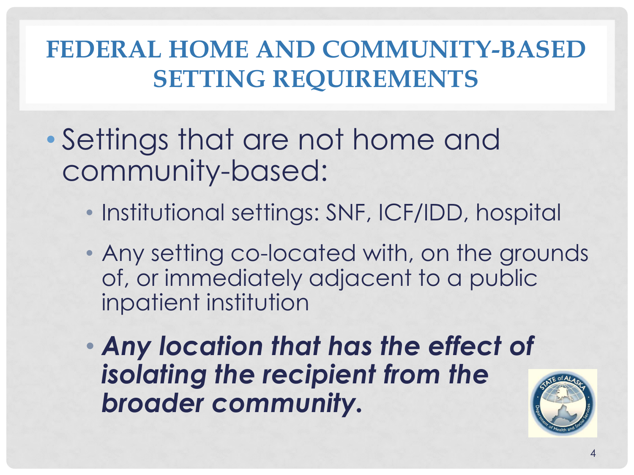- Settings that are not home and community-based:
	- Institutional settings: SNF, ICF/IDD, hospital
	- Any setting co-located with, on the grounds of, or immediately adjacent to a public inpatient institution
	- *Any location that has the effect of isolating the recipient from the broader community.*

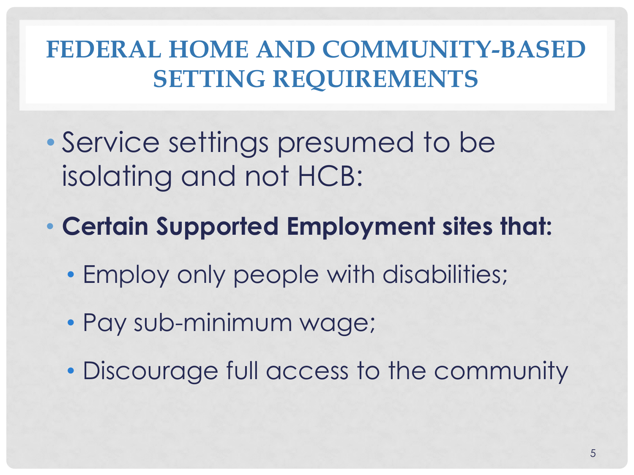- Service settings presumed to be isolating and not HCB:
- **Certain Supported Employment sites that:**
	- Employ only people with disabilities;
	- Pay sub-minimum wage;
	- Discourage full access to the community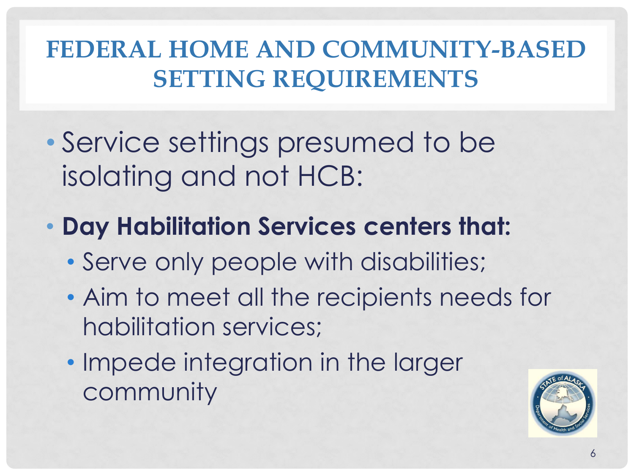- Service settings presumed to be isolating and not HCB:
- **Day Habilitation Services centers that:**
	- Serve only people with disabilities;
	- Aim to meet all the recipients needs for habilitation services;
	- Impede integration in the larger community

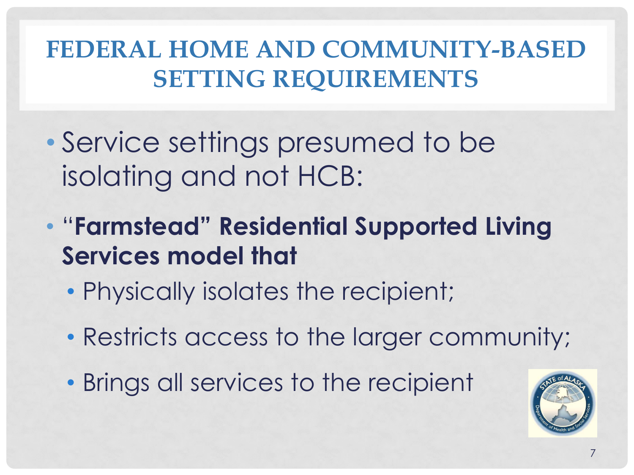- Service settings presumed to be isolating and not HCB:
- "**Farmstead" Residential Supported Living Services model that**
	- Physically isolates the recipient;
	- Restricts access to the larger community;
	- Brings all services to the recipient

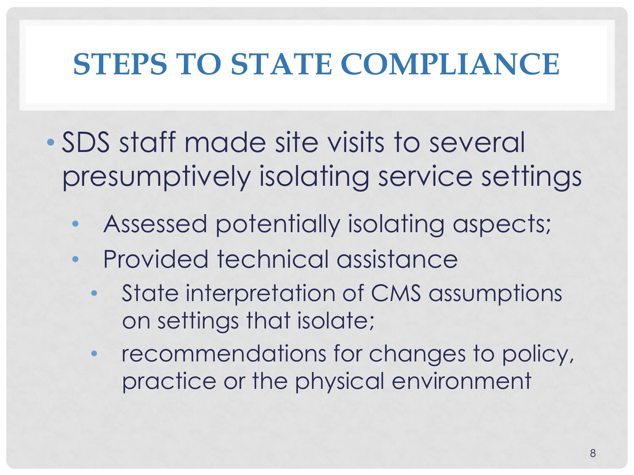- SDS staff made site visits to several presumptively isolating service settings
	- Assessed potentially isolating aspects;
	- Provided technical assistance
		- State interpretation of CMS assumptions on settings that isolate;
		- recommendations for changes to policy, practice or the physical environment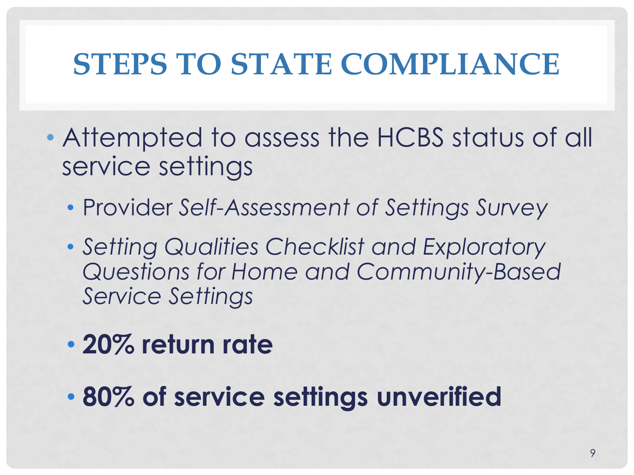- Attempted to assess the HCBS status of all service settings
	- Provider *Self-Assessment of Settings Survey*
	- *Setting Qualities Checklist and Exploratory Questions for Home and Community-Based Service Settings*
	- **20% return rate**
	- **80% of service settings unverified**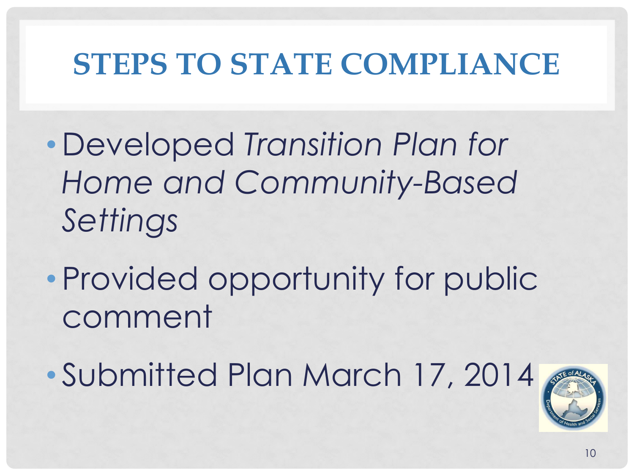- Developed *Transition Plan for Home and Community-Based Settings*
- Provided opportunity for public comment
- Submitted Plan March 17, 2014

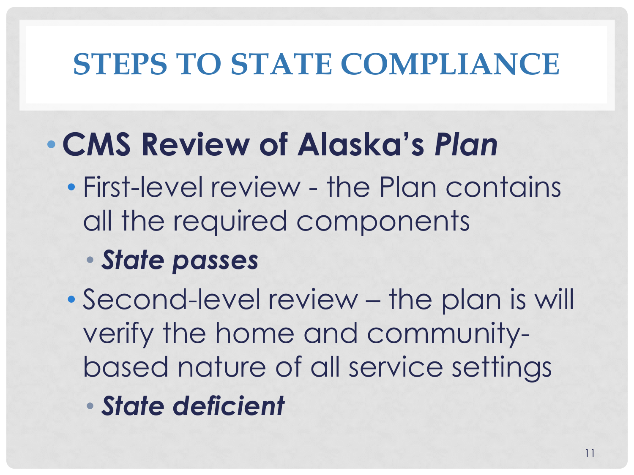# •**CMS Review of Alaska's** *Plan*

- First-level review the Plan contains all the required components
	- *State passes*
- Second-level review the plan is will verify the home and communitybased nature of all service settings
	- *State deficient*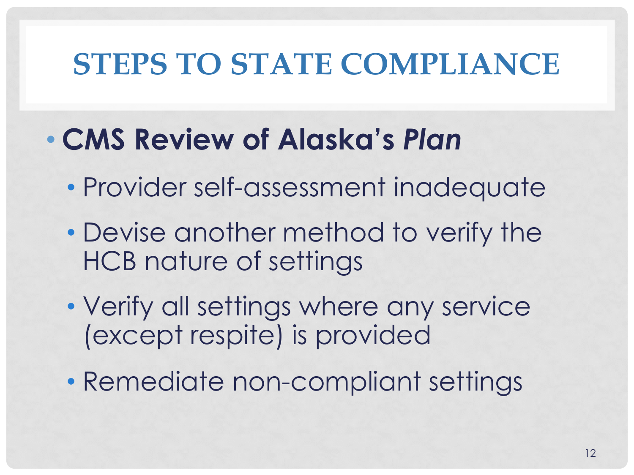### • **CMS Review of Alaska's** *Plan*

- Provider self-assessment inadequate
- Devise another method to verify the HCB nature of settings
- Verify all settings where any service (except respite) is provided
- Remediate non-compliant settings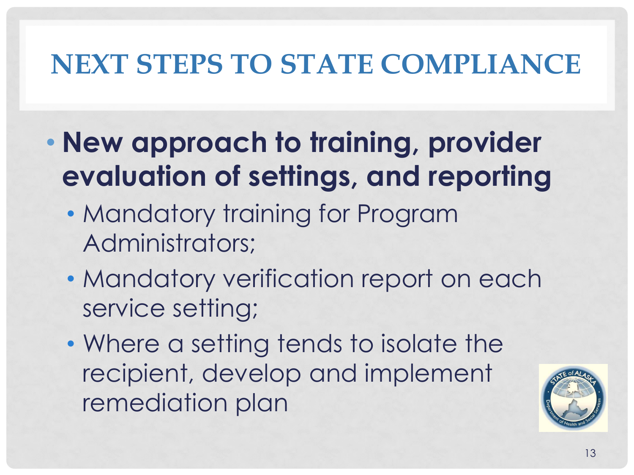- **New approach to training, provider evaluation of settings, and reporting**
	- Mandatory training for Program Administrators;
	- Mandatory verification report on each service setting;
	- Where a setting tends to isolate the recipient, develop and implement remediation plan

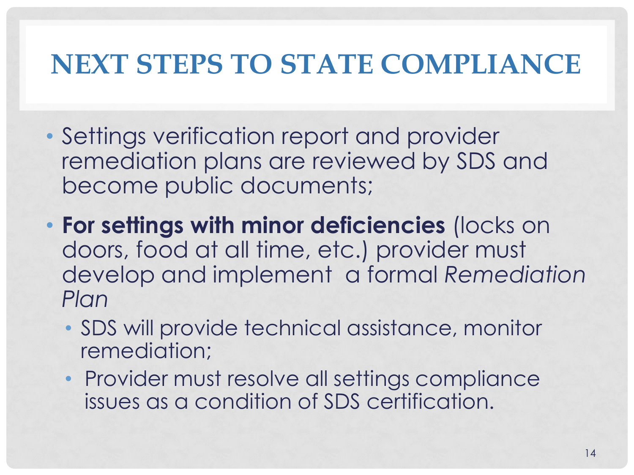- Settings verification report and provider remediation plans are reviewed by SDS and become public documents;
- **For settings with minor deficiencies** (locks on doors, food at all time, etc.) provider must develop and implement a formal *Remediation Plan* 
	- SDS will provide technical assistance, monitor remediation;
	- Provider must resolve all settings compliance issues as a condition of SDS certification.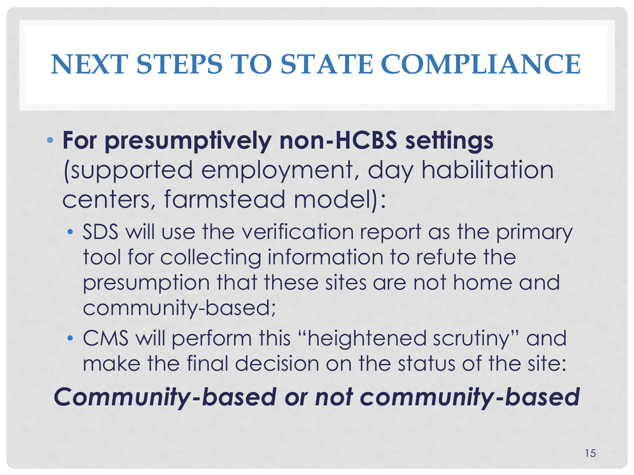- **For presumptively non-HCBS settings**  (supported employment, day habilitation centers, farmstead model):
	- SDS will use the verification report as the primary tool for collecting information to refute the presumption that these sites are not home and community-based;
	- CMS will perform this "heightened scrutiny" and make the final decision on the status of the site:

*Community-based or not community-based*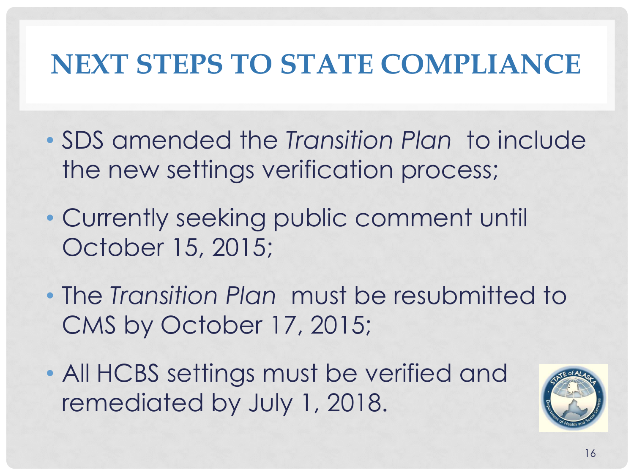- SDS amended the *Transition Plan* to include the new settings verification process;
- Currently seeking public comment until October 15, 2015;
- The *Transition Plan* must be resubmitted to CMS by October 17, 2015;
- All HCBS settings must be verified and remediated by July 1, 2018.

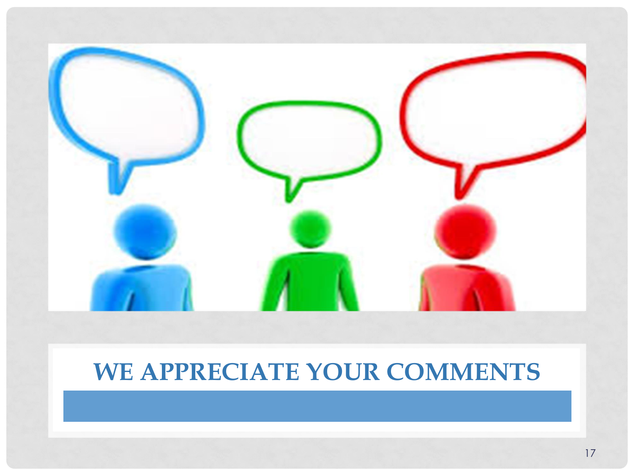

#### **WE APPRECIATE YOUR COMMENTS**